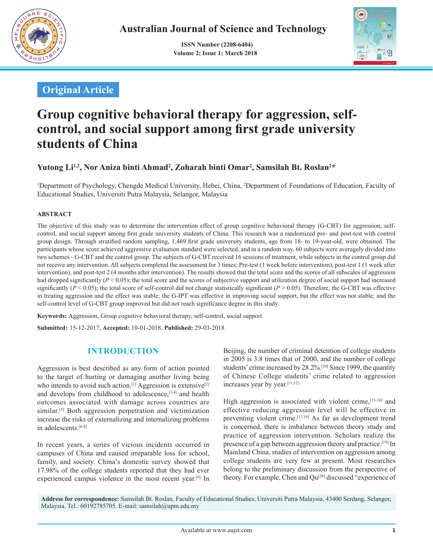

 **ISSN Number (2208-6404) Volume 2; Issue 1; March 2018**



# **Original Article**

# **Group cognitive behavioral therapy for aggression, selfcontrol, and social support among first grade university students of China**

# Yutong Li<sup>1,2</sup>, Nor Aniza binti Ahmad<sup>2</sup>, Zoharah binti Omar<sup>2</sup>, Samsilah Bt. Roslan<sup>2</sup>\*

<sup>1</sup>Department of Psychology, Chengde Medical University, Hebei, China, <sup>2</sup>Department of Foundations of Education, Faculty of Educational Studies, Universiti Putra Malaysia, Selangor, Malaysia

#### **ABSTRACT**

The objective of this study was to determine the intervention effect of group cognitive behavioral therapy (G-CBT) for aggression, selfcontrol, and social support among first grade university students of China. This research was a randomized pre- and post-test with control group design. Through stratified random sampling, 1,469 first grade university students, age from 18- to 19-year-old, were obtained. The participants whose score achieved aggressive evaluation standard were selected, and in a random way, 60 subjects were averagely divided into two schemes - G-CBT and the control group. The subjects of G-CBT received 16 sessions of treatment, while subjects in the control group did not receive any intervention. All subjects completed the assessment for 3 times: Pre-test (1 week before intervention), post-test 1 (1 week after intervention), and post-test 2 (4 months after intervention). The results showed that the total score and the scores of all subscales of aggression had dropped significantly  $(P < 0.05)$ ; the total score and the scores of subjective support and utilization degree of social support had increased significantly ( $P < 0.05$ ); the total score of self-control did not change statistically significant ( $P > 0.05$ ). Therefore, the G-CBT was effective in treating aggression and the effect was stable; the G-IPT was effective in improving social support, but the effect was not stable; and the self-control level of G-CBT group improved but did not reach significance degree in this study.

**Keywords:** Aggression, Group cognitive behavioral therapy, self-control, social support

**Submitted:**  15-12-2017, **Accepted:** 10-01-2018, **Published:** 29-03-2018

### **INTRODUCTION**

Aggression is best described as any form of action pointed to the target of hurting or damaging another living being who intends to avoid such action.<sup>[1]</sup> Aggression is extensive<sup>[2]</sup> and develops from childhood to adolescence,[3,4] and health outcomes associated with damage across countries are similar.<sup>[5]</sup> Both aggression perpetration and victimization increase the risks of externalizing and internalizing problems in adolescents.[6-8]

In recent years, a series of vicious incidents occurred in campuses of China and caused irreparable loss for school, family, and society. China's domestic survey showed that 17.98% of the college students reported that they had ever experienced campus violence in the most recent year.<sup>[9]</sup> In Beijing, the number of criminal detention of college students in 2005 is 3.8 times that of 2000, and the number of college students' crime increased by 28.2%.<sup>[10]</sup> Since 1999, the quantity of Chinese College students' crime related to aggression increases year by year.[11,12]

High aggression is associated with violent crime, <a>[13-16]</a> and effective reducing aggression level will be effective in preventing violent crime.[17,18] As far as development trend is concerned, there is imbalance between theory study and practice of aggression intervention. Scholars realize the presence of a gap between aggression theory and practice.[19] In Mainland China, studies of intervention on aggression among college students are very few at present. Most researches belong to the preliminary discussion from the perspective of theory. For example, Chen and Qu<sup>[20]</sup> discussed "experience of

**Address for correspondence:** Samsilah Bt. Roslan, Faculty of Educational Studies, Universiti Putra Malaysia, 43400 Serdang, Selangor, Malaysia. Tel.: 60192785705. E-mail: samsilah@upm.edu.my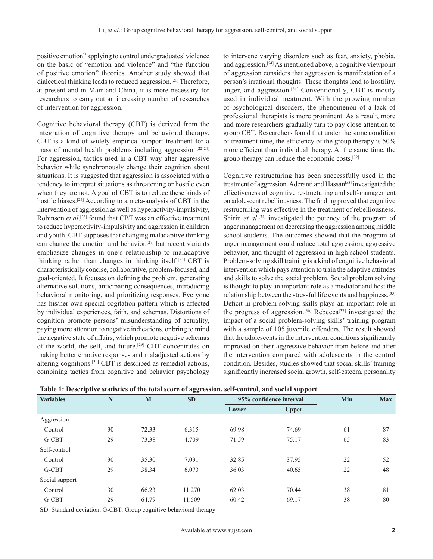positive emotion" applying to control undergraduates' violence on the basic of "emotion and violence" and "the function of positive emotion" theories. Another study showed that dialectical thinking leads to reduced aggression.[21] Therefore, at present and in Mainland China, it is more necessary for researchers to carry out an increasing number of researches of intervention for aggression.

Cognitive behavioral therapy (CBT) is derived from the integration of cognitive therapy and behavioral therapy. CBT is a kind of widely empirical support treatment for a mass of mental health problems including aggression.[22-24] For aggression, tactics used in a CBT way alter aggressive behavior while synchronously change their cognition about situations. It is suggested that aggression is associated with a tendency to interpret situations as threatening or hostile even when they are not. A goal of CBT is to reduce these kinds of hostile biases.<sup>[25]</sup> According to a meta-analysis of CBT in the intervention of aggression as well as hyperactivity-impulsivity, Robinson *et al*. [26] found that CBT was an effective treatment to reduce hyperactivity-impulsivity and aggression in children and youth. CBT supposes that changing maladaptive thinking can change the emotion and behavior,[27] but recent variants emphasize changes in one's relationship to maladaptive thinking rather than changes in thinking itself.[28] CBT is characteristically concise, collaborative, problem-focused, and goal-oriented. It focuses on defining the problem, generating alternative solutions, anticipating consequences, introducing behavioral monitoring, and prioritizing responses. Everyone has his/her own special cogitation pattern which is affected by individual experiences, faith, and schemas. Distortions of cognition promote persons' misunderstanding of actuality, paying more attention to negative indications, or bring to mind the negative state of affairs, which promote negative schemas of the world, the self, and future.[29] CBT concentrates on making better emotive responses and maladjusted actions by altering cognitions.[30] CBT is described as remedial actions, combining tactics from cognitive and behavior psychology

to intervene varying disorders such as fear, anxiety, phobia, and aggression.[24] As mentioned above, a cognitive viewpoint of aggression considers that aggression is manifestation of a person's irrational thoughts. These thoughts lead to hostility, anger, and aggression. $[31]$  Conventionally, CBT is mostly used in individual treatment. With the growing number of psychological disorders, the phenomenon of a lack of professional therapists is more prominent. As a result, more and more researchers gradually turn to pay close attention to group CBT. Researchers found that under the same condition of treatment time, the efficiency of the group therapy is 50% more efficient than individual therapy. At the same time, the group therapy can reduce the economic costs.[32]

Cognitive restructuring has been successfully used in the treatment of aggression. Aderanti and Hassan<sup>[33]</sup> investigated the effectiveness of cognitive restructuring and self-management on adolescent rebelliousness. The finding proved that cognitive restructuring was effective in the treatment of rebelliousness. Shirin *et al*.<sup>[34]</sup> investigated the potency of the program of anger management on decreasing the aggression among middle school students. The outcomes showed that the program of anger management could reduce total aggression, aggressive behavior, and thought of aggression in high school students. Problem-solving skill training is a kind of cognitive behavioral intervention which pays attention to train the adaptive attitudes and skills to solve the social problem. Social problem solving is thought to play an important role as a mediator and host the relationship between the stressful life events and happiness.[35] Deficit in problem-solving skills plays an important role in the progress of aggression.<sup>[36]</sup> Rebecca<sup>[37]</sup> investigated the impact of a social problem-solving skills' training program with a sample of 105 juvenile offenders. The result showed that the adolescents in the intervention conditions significantly improved on their aggressive behavior from before and after the intervention compared with adolescents in the control condition. Besides, studies showed that social skills' training significantly increased social growth, self-esteem, personality

| <b>Variables</b> | N  | M     | <b>SD</b> |       | 95% confidence interval | Min | <b>Max</b> |
|------------------|----|-------|-----------|-------|-------------------------|-----|------------|
|                  |    |       |           | Lower | <b>Upper</b>            |     |            |
| Aggression       |    |       |           |       |                         |     |            |
| Control          | 30 | 72.33 | 6.315     | 69.98 | 74.69                   | 61  | 87         |
| G-CBT            | 29 | 73.38 | 4.709     | 71.59 | 75.17                   | 65  | 83         |
| Self-control     |    |       |           |       |                         |     |            |
| Control          | 30 | 35.30 | 7.091     | 32.85 | 37.95                   | 22  | 52         |
| G-CBT            | 29 | 38.34 | 6.073     | 36.03 | 40.65                   | 22  | 48         |
| Social support   |    |       |           |       |                         |     |            |
| Control          | 30 | 66.23 | 11.270    | 62.03 | 70.44                   | 38  | 81         |
| G-CBT            | 29 | 64.79 | 11.509    | 60.42 | 69.17                   | 38  | 80         |

|  | Table 1: Descriptive statistics of the total score of aggression, self-control, and social support |
|--|----------------------------------------------------------------------------------------------------|
|--|----------------------------------------------------------------------------------------------------|

SD: Standard deviation, G‑CBT: Group cognitive behavioral therapy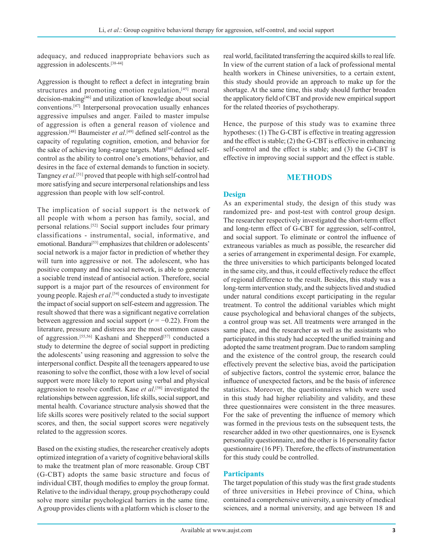adequacy, and reduced inappropriate behaviors such as aggression in adolescents.[38-44]

Aggression is thought to reflect a defect in integrating brain structures and promoting emotion regulation,<sup>[45]</sup> moral decision-making[46] and utilization of knowledge about social conventions.[47] Interpersonal provocation usually enhances aggressive impulses and anger. Failed to master impulse of aggression is often a general reason of violence and aggression.[48] Baumeister *et al*. [49] defined self-control as the capacity of regulating cognition, emotion, and behavior for the sake of achieving long-range targets. Matt<sup>[50]</sup> defined selfcontrol as the ability to control one's emotions, behavior, and desires in the face of external demands to function in society. Tangney *et al.*[51] proved that people with high self-control had more satisfying and secure interpersonal relationships and less aggression than people with low self-control.

The implication of social support is the network of all people with whom a person has family, social, and personal relations.[52] Social support includes four primary classifications - instrumental, social, informative, and emotional. Bandura<sup>[53]</sup> emphasizes that children or adolescents' social network is a major factor in prediction of whether they will turn into aggressive or not. The adolescent, who has positive company and fine social network, is able to generate a sociable trend instead of antisocial action. Therefore, social support is a major part of the resources of environment for young people. Rajesh et al.<sup>[54]</sup> conducted a study to investigate the impact of social support on self-esteem and aggression. The result showed that there was a significant negative correlation between aggression and social support  $(r = -0.22)$ . From the literature, pressure and distress are the most common causes of aggression.<sup>[55,56]</sup> Kashani and Shepperd<sup>[57]</sup> conducted a study to determine the degree of social support in predicting the adolescents' using reasoning and aggression to solve the interpersonal conflict. Despite all the teenagers appeared to use reasoning to solve the conflict, those with a low level of social support were more likely to report using verbal and physical aggression to resolve conflict. Kase *et al*. [58] investigated the relationships between aggression, life skills, social support, and mental health. Covariance structure analysis showed that the life skills scores were positively related to the social support scores, and then, the social support scores were negatively related to the aggression scores.

Based on the existing studies, the researcher creatively adopts optimized integration of a variety of cognitive behavioral skills to make the treatment plan of more reasonable. Group CBT (G-CBT) adopts the same basic structure and focus of individual CBT, though modifies to employ the group format. Relative to the individual therapy, group psychotherapy could solve more similar psychological barriers in the same time. Agroup provides clients with a platform which is closer to the real world, facilitated transferring the acquired skills to real life. In view of the current station of a lack of professional mental health workers in Chinese universities, to a certain extent, this study should provide an approach to make up for the shortage. At the same time, this study should further broaden the applicatory field of CBT and provide new empirical support for the related theories of psychotherapy.

Hence, the purpose of this study was to examine three hypotheses: (1) The G-CBT is effective in treating aggression and the effect is stable; (2) the G-CBT is effective in enhancing self-control and the effect is stable; and (3) the G-CBT is effective in improving social support and the effect is stable.

#### **METHODS**

#### **Design**

As an experimental study, the design of this study was randomized pre- and post-test with control group design. The researcher respectively investigated the short-term effect and long-term effect of G-CBT for aggression, self-control, and social support. To eliminate or control the influence of extraneous variables as much as possible, the researcher did a series of arrangement in experimental design. For example, the three universities to which participants belonged located in the same city, and thus, it could effectively reduce the effect of regional difference to the result. Besides, this study was a long-term intervention study, and the subjects lived and studied under natural conditions except participating in the regular treatment. To control the additional variables which might cause psychological and behavioral changes of the subjects, a control group was set. All treatments were arranged in the same place, and the researcher as well as the assistants who participated in this study had accepted the unified training and adopted the same treatment program. Due to random sampling and the existence of the control group, the research could effectively prevent the selective bias, avoid the participation of subjective factors, control the systemic error, balance the influence of unexpected factors, and be the basis of inference statistics. Moreover, the questionnaires which were used in this study had higher reliability and validity, and these three questionnaires were consistent in the three measures. For the sake of preventing the influence of memory which was formed in the previous tests on the subsequent tests, the researcher added in two other questionnaires, one is Eysenck personality questionnaire, and the other is 16 personality factor questionnaire (16 PF). Therefore, the effects of instrumentation for this study could be controlled.

#### **Participants**

The target population of this study was the first grade students of three universities in Hebei province of China, which contained a comprehensive university, a university of medical sciences, and a normal university, and age between 18 and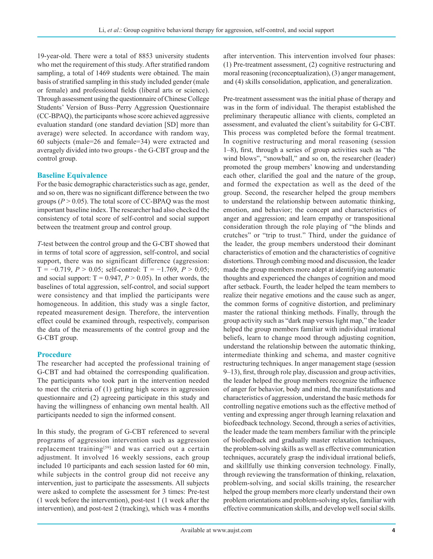19-year-old. There were a total of 8853 university students who met the requirement of this study. After stratified random sampling, a total of 1469 students were obtained. The main basis of stratified sampling in this study included gender (male or female) and professional fields (liberal arts or science). Through assessment using the questionnaire of Chinese College Students' Version of Buss–Perry Aggression Questionnaire (CC-BPAQ), the participants whose score achieved aggressive evaluation standard (one standard deviation [SD] more than average) were selected. In accordance with random way, 60 subjects (male=26 and female=34) were extracted and averagely divided into two groups - the G-CBT group and the control group.

#### **Baseline Equivalence**

For the basic demographic characteristics such as age, gender, and so on, there was no significant difference between the two groups  $(P > 0.05)$ . The total score of CC-BPAQ was the most important baseline index. The researcher had also checked the consistency of total score of self-control and social support between the treatment group and control group.

*T*-test between the control group and the G-CBT showed that in terms of total score of aggression, self-control, and social support, there was no significant difference (aggression: T = −0.719, *P* > 0.05; self-control: T = −1.769, *P* > 0.05; and social support:  $T = 0.947$ ,  $P > 0.05$ ). In other words, the baselines of total aggression, self-control, and social support were consistency and that implied the participants were homogeneous. In addition, this study was a single factor, repeated measurement design. Therefore, the intervention effect could be examined through, respectively, comparison the data of the measurements of the control group and the G-CBT group.

#### **Procedure**

The researcher had accepted the professional training of G-CBT and had obtained the corresponding qualification. The participants who took part in the intervention needed to meet the criteria of (1) getting high scores in aggression questionnaire and (2) agreeing participate in this study and having the willingness of enhancing own mental health. All participants needed to sign the informed consent.

In this study, the program of G-CBT referenced to several programs of aggression intervention such as aggression replacement training[59] and was carried out a certain adjustment. It involved 16 weekly sessions, each group included 10 participants and each session lasted for 60 min, while subjects in the control group did not receive any intervention, just to participate the assessments. All subjects were asked to complete the assessment for 3 times: Pre-test (1 week before the intervention), post-test 1 (1 week after the intervention), and post-test 2 (tracking), which was 4 months after intervention. This intervention involved four phases: (1) Pre-treatment assessment, (2) cognitive restructuring and moral reasoning (reconceptualization), (3) anger management, and (4) skills consolidation, application, and generalization.

Pre-treatment assessment was the initial phase of therapy and was in the form of individual. The therapist established the preliminary therapeutic alliance with clients, completed an assessment, and evaluated the client's suitability for G-CBT. This process was completed before the formal treatment. In cognitive restructuring and moral reasoning (session 1–8), first, through a series of group activities such as "the wind blows", "snowball," and so on, the researcher (leader) promoted the group members' knowing and understanding each other, clarified the goal and the nature of the group, and formed the expectation as well as the deed of the group. Second, the researcher helped the group members to understand the relationship between automatic thinking, emotion, and behavior; the concept and characteristics of anger and aggression; and learn empathy or transpositional consideration through the role playing of "the blinds and crutches" or "trip to trust." Third, under the guidance of the leader, the group members understood their dominant characteristics of emotion and the characteristics of cognitive distortions. Through combing mood and discussion, the leader made the group members more adept at identifying automatic thoughts and experienced the changes of cognition and mood after setback. Fourth, the leader helped the team members to realize their negative emotions and the cause such as anger, the common forms of cognitive distortion, and preliminary master the rational thinking methods. Finally, through the group activity such as "dark map versus light map," the leader helped the group members familiar with individual irrational beliefs, learn to change mood through adjusting cognition, understand the relationship between the automatic thinking, intermediate thinking and schema, and master cognitive restructuring techniques. In anger management stage (session 9–13), first, through role play, discussion and group activities, the leader helped the group members recognize the influence of anger for behavior, body and mind, the manifestations and characteristics of aggression, understand the basic methods for controlling negative emotions such as the effective method of venting and expressing anger through learning relaxation and biofeedback technology. Second, through a series of activities, the leader made the team members familiar with the principle of biofeedback and gradually master relaxation techniques, the problem-solving skills as well as effective communication techniques, accurately grasp the individual irrational beliefs, and skillfully use thinking conversion technology. Finally, through reviewing the transformation of thinking, relaxation, problem-solving, and social skills training, the researcher helped the group members more clearly understand their own problem orientations and problem-solving styles, familiar with effective communication skills, and develop well social skills.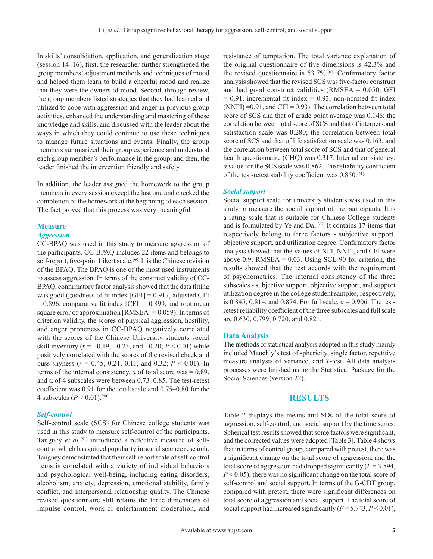In skills' consolidation, application, and generalization stage (session 14–16), first, the researcher further strengthened the group members' adjustment methods and techniques of mood and helped them learn to build a cheerful mood and realize that they were the owners of mood. Second, through review, the group members listed strategies that they had learned and utilized to cope with aggression and anger in previous group activities, enhanced the understanding and mastering of these knowledge and skills, and discussed with the leader about the ways in which they could continue to use these techniques to manage future situations and events. Finally, the group members summarized their group experience and understood each group member's performance in the group, and then, the leader finished the intervention friendly and safely.

In addition, the leader assigned the homework to the group members in every session except the last one and checked the completion of the homework at the beginning of each session. The fact proved that this process was very meaningful.

#### **Measure**

#### *Aggression*

CC-BPAQ was used in this study to measure aggression of the participants. CC-BPAQ includes 22 items and belongs to self-report, five-point Likert scale.<sup>[60]</sup> It is the Chinese revision of the BPAQ. The BPAQ is one of the most used instruments to assess aggression. In terms of the construct validity of CC-BPAQ, confirmatory factor analysis showed that the data fitting was good (goodness of fit index [GFI] = 0.917, adjusted GFI  $= 0.896$ , comparative fit index  $[CFI] = 0.899$ , and root mean square error of approximation [RMSEA] = 0.059). In terms of criterion validity, the scores of physical aggression, hostility, and anger proneness in CC-BPAQ negatively correlated with the scores of the Chinese University students social skill inventory ( $r = -0.19, -0.23$ , and  $-0.20$ ;  $P < 0.01$ ) while positively correlated with the scores of the revised cheek and buss shyness ( $r = 0.45, 0.21, 0.11,$  and 0.32;  $P < 0.01$ ). In terms of the internal consistency,  $\alpha$  of total score was = 0.89, and  $\alpha$  of 4 subscales were between 0.73–0.85. The test-retest coefficient was 0.91 for the total scale and 0.75–0.80 for the 4 subscales  $(P < 0.01)$ .<sup>[60]</sup>

#### *Self-control*

Self-control scale (SCS) for Chinese college students was used in this study to measure self-control of the participants. Tangney *et al*.<sup>[51]</sup> introduced a reflective measure of selfcontrol which has gained popularity in social science research. Tangney demonstrated that their self-report scale of self-control items is correlated with a variety of individual behaviors and psychological well-being, including eating disorders, alcoholism, anxiety, depression, emotional stability, family conflict, and interpersonal relationship quality. The Chinese revised questionnaire still retains the three dimensions of impulse control, work or entertainment moderation, and resistance of temptation. The total variance explanation of the original questionnaire of five dimensions is 42.3% and the revised questionnaire is 53.7%.[61] Confirmatory factor analysis showed that the revised SCS was five-factor construct and had good construct validities  $(RMSEA = 0.050, GFI$  $= 0.91$ , incremental fit index  $= 0.93$ , non-normed fit index (NNFI) =  $0.91$ , and CFI =  $0.93$ ). The correlation between total score of SCS and that of grade point average was 0.146; the correlation between total score of SCS and that of interpersonal satisfaction scale was 0.280; the correlation between total score of SCS and that of life satisfaction scale was 0.163, and the correlation between total score of SCS and that of general health questionnaire (CHQ) was 0.317. Internal consistency: α value for the SCS scale was 0.862. The reliability coefficient of the test-retest stability coefficient was 0.850.<sup>[61]</sup>

#### *Social support*

Social support scale for university students was used in this study to measure the social support of the participants. It is a rating scale that is suitable for Chinese College students and is formulated by Ye and Dai.<sup>[62]</sup> It contains 17 items that respectively belong to three factors - subjective support, objective support, and utilization degree. Confirmatory factor analysis showed that the values of NFI, NNFI, and CFI were above 0.9,  $RMSEA = 0.03$ . Using SCL-90 for criterion, the results showed that the test accords with the requirement of psychometrics. The internal consistency of the three subscales - subjective support, objective support, and support utilization degree in the college student samples, respectively, is 0.845, 0.814, and 0.874. For full scale,  $\alpha$  = 0.906. The testretest reliability coefficient of the three subscales and full scale are 0.630, 0.799, 0.720, and 0.821.

#### **Data Analysis**

The methods of statistical analysis adopted in this study mainly included Mauchly's test of sphericity, single factor, repetitive measure analysis of variance, and *T*-test. All data analysis processes were finished using the Statistical Package for the Social Sciences (version 22).

#### **RESULTS**

Table 2 displays the means and SDs of the total score of aggression, self-control, and social support by the time series. Spherical test results showed that some factors were significant, and the corrected values were adopted [Table 3]. Table 4 shows that in terms of control group, compared with pretest, there was a significant change on the total score of aggression, and the total score of aggression had dropped significantly (*F* = 3.594, *P* < 0.05); there was no significant change on the total score of self-control and social support. In terms of the G-CBT group, compared with pretest, there were significant differences on total score of aggression and social support. The total score of social support had increased significantly  $(F = 5.743, P < 0.01)$ ,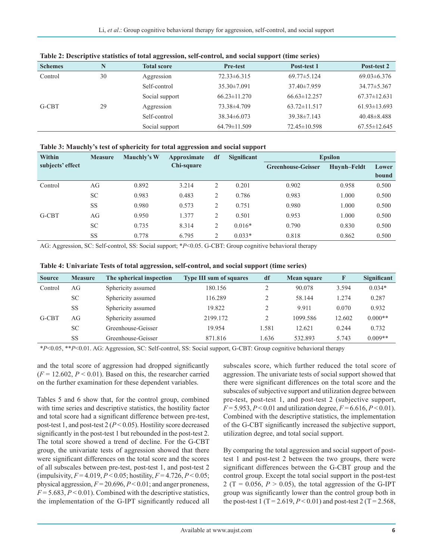| <b>Schemes</b> |    | <b>Total score</b> | <b>Pre-test</b>    | Post-test 1        | Post-test 2        |
|----------------|----|--------------------|--------------------|--------------------|--------------------|
| Control        | 30 | Aggression         | $72.33\pm 6.315$   | $69.77 \pm 5.124$  | $69.03 \pm 6.376$  |
|                |    | Self-control       | $35.30 \pm 7.091$  | $37.40 \pm 7.959$  | $34.77 \pm 5.367$  |
|                |    | Social support     | $66.23 \pm 11.270$ | $66.63 \pm 12.257$ | $67.37 \pm 12.631$ |
| G-CBT          | 29 | Aggression         | 73.38±4.709        | $63.72 \pm 11.517$ | $61.93 \pm 13.693$ |
|                |    | Self-control       | $38.34\pm 6.073$   | $39.38 \pm 7.143$  | $40.48 \pm 8.488$  |
|                |    | Social support     | 64.79±11.509       | 72.45 ± 10.598     | $67.55 \pm 12.645$ |

**Table 2: Descriptive statistics of total aggression, self-control, and social support (time series)**

| Table 3: Mauchly's test of sphericity for total aggression and social support |  |  |  |
|-------------------------------------------------------------------------------|--|--|--|
|                                                                               |  |  |  |

| Within<br>df<br>Mauchly's W<br><b>Measure</b><br>Approximate |           | <b>Significant</b> | <b>Epsilon</b> |                |          |                           |             |       |
|--------------------------------------------------------------|-----------|--------------------|----------------|----------------|----------|---------------------------|-------------|-------|
| subjects' effect                                             |           |                    | Chi-square     |                |          | <b>Greenhouse-Geisser</b> | Huynh-Feldt | Lower |
|                                                              |           |                    |                |                |          |                           |             | bound |
| Control                                                      | AG        | 0.892              | 3.214          | 2              | 0.201    | 0.902                     | 0.958       | 0.500 |
|                                                              | <b>SC</b> | 0.983              | 0.483          | $\overline{c}$ | 0.786    | 0.983                     | 1.000       | 0.500 |
|                                                              | <b>SS</b> | 0.980              | 0.573          | 2              | 0.751    | 0.980                     | 1.000       | 0.500 |
| G-CBT                                                        | AG        | 0.950              | 1.377          | 2              | 0.501    | 0.953                     | 1.000       | 0.500 |
|                                                              | <b>SC</b> | 0.735              | 8.314          | 2              | $0.016*$ | 0.790                     | 0.830       | 0.500 |
|                                                              | <b>SS</b> | 0.778              | 6.795          | $\overline{c}$ | $0.033*$ | 0.818                     | 0.862       | 0.500 |

AG: Aggression, SC: Self-control, SS: Social support; \**P*<0.05. G-CBT: Group cognitive behavioral therapy

|  | Table 4: Univariate Tests of total aggression, self-control, and social support (time series) |
|--|-----------------------------------------------------------------------------------------------|
|--|-----------------------------------------------------------------------------------------------|

| <b>Source</b> | <b>Measure</b> | The spherical inspection | <b>Type III sum of squares</b> | df    | <b>Mean square</b> | $\mathbf F$ | <b>Significant</b> |
|---------------|----------------|--------------------------|--------------------------------|-------|--------------------|-------------|--------------------|
| Control       | AG             | Sphericity assumed       | 180.156                        |       | 90.078             | 3.594       | $0.034*$           |
|               | <b>SC</b>      | Sphericity assumed       | 116.289                        |       | 58.144             | 1.274       | 0.287              |
|               | <b>SS</b>      | Sphericity assumed       | 19.822                         |       | 9.911              | 0.070       | 0.932              |
| G-CBT         | AG             | Sphericity assumed       | 2199.172                       |       | 1099.586           | 12.602      | $0.000**$          |
|               | <b>SC</b>      | Greenhouse-Geisser       | 19.954                         | 1.581 | 12.621             | 0.244       | 0.732              |
|               | <b>SS</b>      | Greenhouse-Geisser       | 871.816                        | 1.636 | 532.893            | 5.743       | $0.009**$          |

\**P*<0.05, \*\**P*<0.01. AG: Aggression, SC: Self‑control, SS: Social support, G‑CBT: Group cognitive behavioral therapy

and the total score of aggression had dropped significantly  $(F = 12.602, P < 0.01)$ . Based on this, the researcher carried on the further examination for these dependent variables.

Tables 5 and 6 show that, for the control group, combined with time series and descriptive statistics, the hostility factor and total score had a significant difference between pre-test, post-test 1, and post-test 2 (*P* < 0.05). Hostility score decreased significantly in the post-test 1 but rebounded in the post-test 2. The total score showed a trend of decline. For the G-CBT group, the univariate tests of aggression showed that there were significant differences on the total score and the scores of all subscales between pre-test, post-test 1, and post-test 2 (impulsivity,  $F = 4.019$ ,  $P < 0.05$ ; hostility,  $F = 4.726$ ,  $P < 0.05$ ; physical aggression,  $F = 20.696$ ,  $P < 0.01$ ; and anger proneness,  $F = 5.683, P < 0.01$ ). Combined with the descriptive statistics, the implementation of the G-IPT significantly reduced all subscales score, which further reduced the total score of aggression. The univariate tests of social support showed that there were significant differences on the total score and the subscales of subjective support and utilization degree between pre-test, post-test 1, and post-test 2 (subjective support,  $F = 5.953$ ,  $P < 0.01$  and utilization degree,  $F = 6.616$ ,  $P < 0.01$ ). Combined with the descriptive statistics, the implementation of the G-CBT significantly increased the subjective support, utilization degree, and total social support.

By comparing the total aggression and social support of posttest 1 and post-test 2 between the two groups, there were significant differences between the G-CBT group and the control group. Except the total social support in the post-test 2 (T =  $0.056$ ,  $P > 0.05$ ), the total aggression of the G-IPT group was significantly lower than the control group both in the post-test 1 (T = 2.619,  $P < 0.01$ ) and post-test 2 (T = 2.568,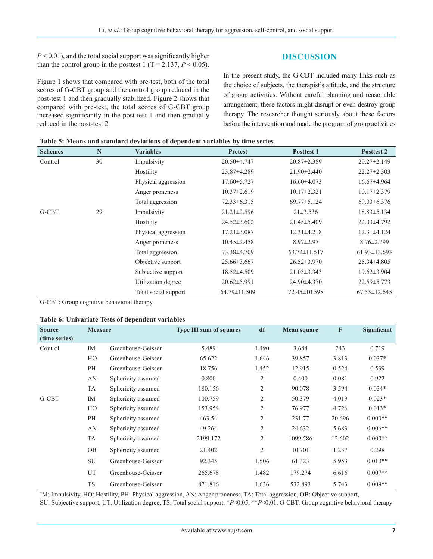$P \le 0.01$ ), and the total social support was significantly higher than the control group in the posttest 1 (T = 2.137,  $P < 0.05$ ).

Figure 1 shows that compared with pre-test, both of the total scores of G-CBT group and the control group reduced in the post-test 1 and then gradually stabilized. Figure 2 shows that compared with pre-test, the total scores of G-CBT group increased significantly in the post-test 1 and then gradually reduced in the post-test 2.

**DISCUSSION**

In the present study, the G-CBT included many links such as the choice of subjects, the therapist's attitude, and the structure of group activities. Without careful planning and reasonable arrangement, these factors might disrupt or even destroy group therapy. The researcher thought seriously about these factors before the intervention and made the program of group activities

| Table 5: Means and standard deviations of dependent variables by time series |  |
|------------------------------------------------------------------------------|--|
|------------------------------------------------------------------------------|--|

| <b>Schemes</b> | $\mathbb N$ | <b>Variables</b>     | <b>Pretest</b>    | <b>Posttest 1</b>  | <b>Posttest 2</b>  |
|----------------|-------------|----------------------|-------------------|--------------------|--------------------|
| Control        | 30          | Impulsivity          | 20.50±4.747       | $20.87 \pm 2.389$  | $20.27 \pm 2.149$  |
|                |             | Hostility            | 23.87±4.289       | $21.90 \pm 2.440$  | $22.27 \pm 2.303$  |
|                |             | Physical aggression  | $17.60 \pm 5.727$ | $16.60\pm4.073$    | $16.67\pm4.964$    |
|                |             | Anger proneness      | $10.37 \pm 2.619$ | $10.17 \pm 2.321$  | $10.17 \pm 2.379$  |
|                |             | Total aggression     | $72.33 \pm 6.315$ | $69.77 \pm 5.124$  | $69.03 \pm 6.376$  |
| G-CBT          | 29          | Impulsivity          | $21.21 \pm 2.596$ | $21\pm3.536$       | $18.83 \pm 5.134$  |
|                |             | Hostility            | $24.52 \pm 3.602$ | $21.45 \pm 5.409$  | 22.03±4.792        |
|                |             | Physical aggression  | $17.21 \pm 3.087$ | $12.31 \pm 4.218$  | 12.31±4.124        |
|                |             | Anger proneness      | $10.45 \pm 2.458$ | $8.97 \pm 2.97$    | $8.76 \pm 2.799$   |
|                |             | Total aggression     | 73.38±4.709       | $63.72 \pm 11.517$ | $61.93 \pm 13.693$ |
|                |             | Objective support    | $25.66 \pm 3.667$ | $26.52 \pm 3.970$  | 25.34±4.805        |
|                |             | Subjective support   | $18.52\pm4.509$   | $21.03 \pm 3.343$  | $19.62 \pm 3.904$  |
|                |             | Utilization degree   | $20.62 \pm 5.991$ | 24.90±4.370        | 22.59 ± 5.773      |
|                |             | Total social support | 64.79±11.509      | $72.45 \pm 10.598$ | $67.55 \pm 12.645$ |

G-CBT: Group cognitive behavioral therapy

#### **Table 6: Univariate Tests of dependent variables**

| <b>Source</b> | <b>Measure</b> |                    | <b>Type III sum of squares</b> | df             | <b>Mean square</b> | $\mathbf{F}$ | Significant |
|---------------|----------------|--------------------|--------------------------------|----------------|--------------------|--------------|-------------|
| (time series) |                |                    |                                |                |                    |              |             |
| Control       | IM             | Greenhouse-Geisser | 5.489                          | 1.490          | 3.684              | 243          | 0.719       |
|               | HO             | Greenhouse-Geisser | 65.622                         | 1.646          | 39.857             | 3.813        | $0.037*$    |
|               | PH             | Greenhouse-Geisser | 18.756                         | 1.452          | 12.915             | 0.524        | 0.539       |
|               | AN             | Sphericity assumed | 0.800                          | 2              | 0.400              | 0.081        | 0.922       |
|               | TA             | Sphericity assumed | 180.156                        | $\overline{2}$ | 90.078             | 3.594        | $0.034*$    |
| G-CBT         | IM             | Sphericity assumed | 100.759                        | $\overline{2}$ | 50.379             | 4.019        | $0.023*$    |
|               | HO             | Sphericity assumed | 153.954                        | $\overline{2}$ | 76.977             | 4.726        | $0.013*$    |
|               | PH             | Sphericity assumed | 463.54                         | $\overline{2}$ | 231.77             | 20.696       | $0.000**$   |
|               | AN             | Sphericity assumed | 49.264                         | $\overline{2}$ | 24.632             | 5.683        | $0.006**$   |
|               | TA             | Sphericity assumed | 2199.172                       | $\overline{2}$ | 1099.586           | 12.602       | $0.000**$   |
|               | <b>OB</b>      | Sphericity assumed | 21.402                         | 2              | 10.701             | 1.237        | 0.298       |
|               | <b>SU</b>      | Greenhouse-Geisser | 92.345                         | 1.506          | 61.323             | 5.953        | $0.010**$   |
|               | UT             | Greenhouse-Geisser | 265.678                        | 1.482          | 179.274            | 6.616        | $0.007**$   |
|               | <b>TS</b>      | Greenhouse-Geisser | 871.816                        | 1.636          | 532.893            | 5.743        | $0.009**$   |

IM: Impulsivity, HO: Hostility, PH: Physical aggression, AN: Anger proneness, TA: Total aggression, OB: Objective support,

SU: Subjective support, UT: Utilization degree, TS: Total social support. \**P*<0.05, \*\**P*<0.01. G‑CBT: Group cognitive behavioral therapy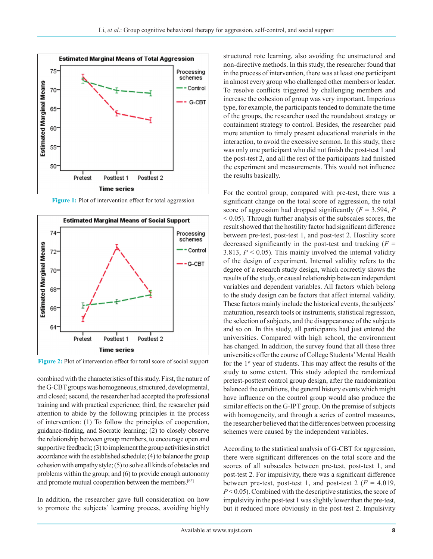

**Figure 1:** Plot of intervention effect for total aggression



**Figure 2:** Plot of intervention effect for total score of social support

combined with the characteristics of this study. First, the nature of the G-CBT groups was homogeneous, structured, developmental, and closed; second, the researcher had accepted the professional training and with practical experience; third, the researcher paid attention to abide by the following principles in the process of intervention: (1) To follow the principles of cooperation, guidance-finding, and Socratic learning; (2) to closely observe the relationship between group members, to encourage open and supportive feedback; (3) to implement the group activities in strict accordance with the established schedule; (4) to balance the group cohesion with empathy style; (5) to solve all kinds of obstacles and problems within the group; and (6) to provide enough autonomy and promote mutual cooperation between the members.[63]

In addition, the researcher gave full consideration on how to promote the subjects' learning process, avoiding highly structured rote learning, also avoiding the unstructured and non-directive methods. In this study, the researcher found that in the process of intervention, there was at least one participant in almost every group who challenged other members or leader. To resolve conflicts triggered by challenging members and increase the cohesion of group was very important. Imperious type, for example, the participants tended to dominate the time of the groups, the researcher used the roundabout strategy or containment strategy to control. Besides, the researcher paid more attention to timely present educational materials in the interaction, to avoid the excessive sermon. In this study, there was only one participant who did not finish the post-test 1 and the post-test 2, and all the rest of the participants had finished the experiment and measurements. This would not influence the results basically.

For the control group, compared with pre-test, there was a significant change on the total score of aggression, the total score of aggression had dropped significantly (*F* = 3.594, *P*   $< 0.05$ ). Through further analysis of the subscales scores, the result showed that the hostility factor had significant difference between pre-test, post-test 1, and post-test 2. Hostility score decreased significantly in the post-test and tracking  $(F =$ 3.813,  $P < 0.05$ ). This mainly involved the internal validity of the design of experiment. Internal validity refers to the degree of a research study design, which correctly shows the results of the study, or causal relationship between independent variables and dependent variables. All factors which belong to the study design can be factors that affect internal validity. These factors mainly include the historical events, the subjects' maturation, research tools or instruments, statistical regression, the selection of subjects, and the disappearance of the subjects and so on. In this study, all participants had just entered the universities. Compared with high school, the environment has changed. In addition, the survey found that all these three universities offer the course of College Students' Mental Health for the 1st year of students. This may affect the results of the study to some extent. This study adopted the randomized pretest-posttest control group design, after the randomization balanced the conditions, the general history events which might have influence on the control group would also produce the similar effects on the G-IPT group. On the premise of subjects with homogeneity, and through a series of control measures, the researcher believed that the differences between processing schemes were caused by the independent variables.

According to the statistical analysis of G-CBT for aggression, there were significant differences on the total score and the scores of all subscales between pre-test, post-test 1, and post-test 2. For impulsivity, there was a significant difference between pre-test, post-test 1, and post-test 2 ( $F = 4.019$ , *P* < 0.05). Combined with the descriptive statistics, the score of impulsivity in the post-test 1 was slightly lower than the pre-test, but it reduced more obviously in the post-test 2. Impulsivity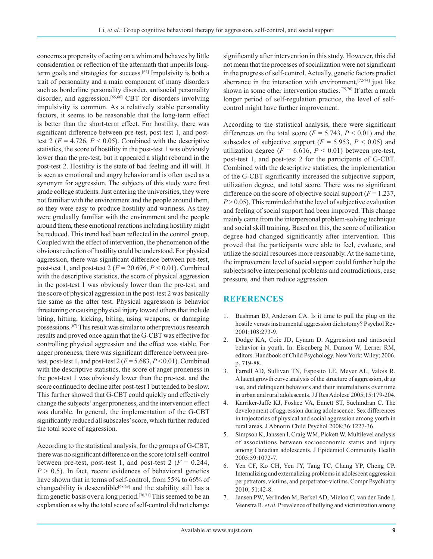concerns a propensity of acting on a whim and behaves by little consideration or reflection of the aftermath that imperils longterm goals and strategies for success.[64] Impulsivity is both a trait of personality and a main component of many disorders such as borderline personality disorder, antisocial personality disorder, and aggression.[65,66] CBT for disorders involving impulsivity is common. As a relatively stable personality factors, it seems to be reasonable that the long-term effect is better than the short-term effect. For hostility, there was significant difference between pre-test, post-test 1, and posttest 2 ( $F = 4.726$ ,  $P < 0.05$ ). Combined with the descriptive statistics, the score of hostility in the post-test 1 was obviously lower than the pre-test, but it appeared a slight rebound in the post-test 2. Hostility is the state of bad feeling and ill will. It is seen as emotional and angry behavior and is often used as a synonym for aggression. The subjects of this study were first grade college students. Just entering the universities, they were not familiar with the environment and the people around them, so they were easy to produce hostility and wariness. As they were gradually familiar with the environment and the people around them, these emotional reactions including hostility might be reduced. This trend had been reflected in the control group. Coupled with the effect of intervention, the phenomenon of the obvious reduction of hostility could be understood. For physical aggression, there was significant difference between pre-test, post-test 1, and post-test 2 (*F* = 20.696, *P* < 0.01). Combined with the descriptive statistics, the score of physical aggression in the post-test 1 was obviously lower than the pre-test, and the score of physical aggression in the post-test 2 was basically the same as the after test. Physical aggression is behavior threatening or causing physical injury toward others that include biting, hitting, kicking, biting, using weapons, or damaging possessions.[67] This result was similar to other previous research results and proved once again that the G-CBT was effective for controlling physical aggression and the effect was stable. For anger proneness, there was significant difference between pretest, post-test 1, and post-test  $2(F=5.683, P<0.01)$ . Combined with the descriptive statistics, the score of anger proneness in the post-test 1 was obviously lower than the pre-test, and the score continued to decline after post-test 1 but tended to be slow. This further showed that G-CBT could quickly and effectively change the subjects' anger proneness, and the intervention effect was durable. In general, the implementation of the G-CBT significantly reduced all subscales' score, which further reduced the total score of aggression.

According to the statistical analysis, for the groups of G-CBT, there was no significant difference on the score total self-control between pre-test, post-test 1, and post-test 2 ( $F = 0.244$ ,  $P > 0.5$ ). In fact, recent evidences of behavioral genetics have shown that in terms of self-control, from 55% to 66% of changeability is descendible<sup>[68,69]</sup> and the stability still has a firm genetic basis over a long period.<sup>[70,71]</sup> This seemed to be an explanation as why the total score of self-control did not change significantly after intervention in this study. However, this did not mean that the processes of socialization were not significant in the progress of self-control. Actually, genetic factors predict aberrance in the interaction with environment,[72-74] just like shown in some other intervention studies.[75,76] If after a much longer period of self-regulation practice, the level of selfcontrol might have further improvement.

According to the statistical analysis, there were significant differences on the total score ( $F = 5.743$ ,  $P < 0.01$ ) and the subscales of subjective support ( $F = 5.953$ ,  $P < 0.05$ ) and utilization degree ( $F = 6.616$ ,  $P < 0.01$ ) between pre-test, post-test 1, and post-test 2 for the participants of G-CBT. Combined with the descriptive statistics, the implementation of the G-CBT significantly increased the subjective support, utilization degree, and total score. There was no significant difference on the score of objective social support  $(F = 1.237)$ ,  $P > 0.05$ ). This reminded that the level of subjective evaluation and feeling of social support had been improved. This change mainly came from the interpersonal problem-solving technique and social skill training. Based on this, the score of utilization degree had changed significantly after intervention. This proved that the participants were able to feel, evaluate, and utilize the social resources more reasonably. At the same time, the improvement level of social support could further help the subjects solve interpersonal problems and contradictions, ease pressure, and then reduce aggression.

## **REFERENCES**

- 1. Bushman BJ, Anderson CA. Is it time to pull the plug on the hostile versus instrumental aggression dichotomy? Psychol Rev 2001;108:273-9.
- 2. Dodge KA, Coie JD, Lynam D. Aggression and antisocial behavior in youth. In: Eisenberg N, Damon W, Lerner RM, editors. Handbook of Child Psychology. NewYork: Wiley; 2006. p. 719-88.
- 3. Farrell AD, Sullivan TN, Esposito LE, Meyer AL, Valois R. Alatent growth curve analysis of the structure of aggression, drug use, and delinquent behaviors and their interrelations over time in urban and rural adolescents. JJ Res Adolesc 2005;15:179-204.
- 4. Karriker-Jaffe KJ, Foshee VA, Ennett ST, Suchindran C. The development of aggression during adolescence: Sex differences in trajectories of physical and social aggression among youth in rural areas. J Abnorm Child Psychol 2008;36:1227-36.
- 5. Simpson K, Janssen I, Craig WM, Pickett W. Multilevel analysis of associations between socioeconomic status and injury among Canadian adolescents. J Epidemiol Community Health 2005;59:1072-7.
- 6. Yen CF, Ko CH, Yen JY, Tang TC, Chang YP, Cheng CP. Internalizing and externalizing problems in adolescent aggression perpetrators, victims, and perpetrator-victims. Compr Psychiatry 2010; 51:42-8.
- 7. Jansen PW, Verlinden M, Berkel AD, Mieloo C, van der Ende J, Veenstra R, *et al*. Prevalence of bullying and victimization among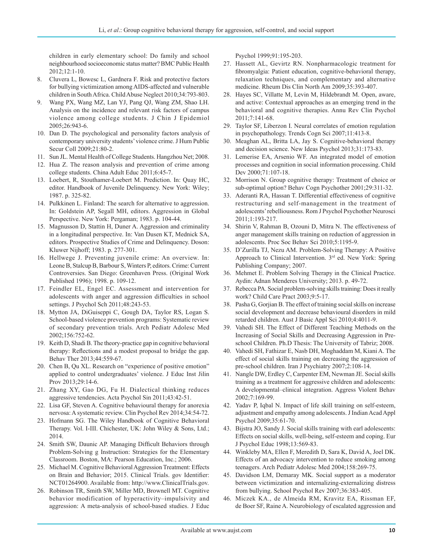children in early elementary school: Do family and school neighbourhood socioeconomic status matter? BMC Public Health 2012;12:1-10.

- 8. Cluvera L, Bowesc L, Gardnera F. Risk and protective factors for bullying victimization among AIDS-affected and vulnerable children in South Africa. Child Abuse Neglect 2010;34:793-803.
- 9. Wang PX, Wang MZ, Lan YJ, Pang QJ, Wang ZM, Shao LH. Analysis on the incidence and relevant risk factors of campus violence among college students. J Chin J Epidemiol 2005;26:943-6.
- 10. Dan D. The psychological and personality factors analysis of contemporary university students' violence crime. J Hum Public Secur Coll 2009;21:80-2.
- 11. Sun JL. Mental Health of College Students. Hangzhou Net; 2008.
- 12. Hua Z. The reason analysis and prevention of crime among college students. China Adult Educ 2011;6:45-7.
- 13. Loebert, R, Stouthamer-Loebert M. Prediction. In: Quay HC, editor. Handbook of Juvenile Delinquency. New York: Wiley; 1987. p. 325-82.
- 14. Pulkkinen L. Finland: The search for alternative to aggression. In: Goldstein AP, Segall MH, editors. Aggression in Global Perspective. New York: Pergaman; 1983. p. 104-44.
- 15. Magnusson D, Stattin H, Duner A. Aggression and criminality in a longitudinal perspective. In: Van Dusen KT, Mednick SA, editors. Prospective Studies of Crime and Delinquency. Doson: Kluwer Nijhoff; 1983. p. 277-301.
- 16. Hellwege J. Preventing juvenile crime: An overview. In: Leone B, Stalcup B, Barbour S, Winters P, editors. Crime: Current Controversies. San Diego: Greenhaven Press. (Original Work Published 1996); 1998. p. 109-12.
- 17. Feindler EL, Engel EC. Assessment and intervention for adolescents with anger and aggression difficulties in school settings. J Psychol Sch 2011;48:243-53.
- 18. Mytton JA, DiGuiseppi C, Gough DA, Taylor RS, Logan S. School-based violence prevention programs: Systematic review of secondary prevention trials. Arch Pediatr Adolesc Med 2002;156:752-62.
- 19. Keith D, Shadi B. The theory-practice gap in cognitive behavioral therapy: Reflections and a modest proposal to bridge the gap. Behav Ther 2013;44:559-67.
- 20. Chen B, Qu XL. Research on "experience of positive emotion" applied to control undergraduates' violence. J Educ Inst Jilin Prov 2013;29:14-6.
- 21. Zhang XY, Gao DG, Fu H. Dialectical thinking reduces aggressive tendencies. Acta Psychol Sin 2011;43:42-51.
- 22. Lisa GF, Steven A. Cognitive behavioural therapy for anorexia nervosa: A systematic review. Clin Psychol Rev 2014;34:54-72.
- 23. Hofmann SG. The Wiley Handbook of Cognitive Behavioral Therapy. Vol. I-III. Chichester, UK: John Wiley & Sons, Ltd.; 2014.
- 24. Smith SW, Daunic AP. Managing Difficult Behaviors through Problem-Solving g Instruction: Strategies for the Elementary Classroom. Boston, MA: Pearson Education, Inc.; 2006.
- 25. Michael M. Cognitive Behavioral Aggression Treatment: Effects on Brain and Behavior; 2015. Clinical Trials. gov Identifier: NCT01264900. Available from: http://www.ClinicalTrials.gov.
- 26. Robinson TR, Smith SW, Miller MD, Brownell MT. Cognitive behavior modification of hyperactivity–impulsivity and aggression: A meta-analysis of school-based studies. J Educ

Psychol 1999;91:195-203.

- 27. Hassett AL, Gevirtz RN. Nonpharmacologic treatment for fibromyalgia: Patient education, cognitive-behavioral therapy, relaxation techniques, and complementary and alternative medicine. Rheum Dis Clin North Am 2009;35:393-407.
- 28. Hayes SC, Villatte M, Levin M, Hildebrandt M. Open, aware, and active: Contextual approaches as an emerging trend in the behavioral and cognitive therapies. Annu Rev Clin Psychol 2011;7:141-68.
- 29. Taylor SF, Liberzon I. Neural correlates of emotion regulation in psychopathology. Trends Cogn Sci 2007;11:413-8.
- 30. Meaghan AL, Britta LA, Jay S. Cognitive-behavioral therapy and decision science. New Ideas Psychol 2013;31:173-83.
- 31. Lemerise EA, Arsenio WF. An integrated model of emotion processes and cognition in social information processing. Child Dev 2000;71:107-18.
- 32. Morrison N. Group cognitive therapy: Treatment of choice or sub-optimal option? Behav Cogn Psychother 2001;29:311-32.
- 33. Aderanti RA, Hassan T. Differential effectiveness of cognitive restructuring and self-management in the treatment of adolescents' rebelliousness. Rom J Psychol Psychother Neurosci 2011;1:193-217.
- 34. Shirin V, Rahman B, Ozouni D, Mitra N. The effectiveness of anger management skills training on reduction of aggression in adolescents. Proc Soc Behav Sci 2010;5:1195-9.
- 35. D'Zurilla TJ, Nezu AM. Problem-Solving Therapy: A Positive Approach to Clinical Intervention. 3<sup>rd</sup> ed. New York: Spring Publishing Company; 2007.
- 36. Mehmet E. Problem Solving Therapy in the Clinical Practice. Aydin: Adnan Menderes University; 2013. p. 49-72.
- 37. Rebecca PA. Social problem-solving skills training: Does it really work? Child Care Pract 2003;9:5-17.
- 38. Pasha G, Gorjian B. The effect of training social skills on increase social development and decrease behavioural disorders in mild retarded children. Aust J Basic Appl Sci 2010;4:4011-9.
- 39. Vahedi SH. The Effect of Different Teaching Methods on the Increasing of Social Skills and Decreasing Aggression in Preschool Children. Ph.D Thesis: The University of Tabriz; 2008.
- 40. Vahedi SH, Fathizar E, Nasb DH, Moghaddam M, Kiani A. The effect of social skills training on decreasing the aggression of pre-school children. Iran J Psychiatry 2007;2:108-14.
- 41. Nangle DW, Erdley C, Carpenter EM, Newman JE. Social skills training as a treatment for aggressive children and adolescents: A developmental–clinical integration. Aggress Violent Behav 2002;7:169-99.
- 42. Yadav P, Iqbal N. Impact of life skill training on self-esteem, adjustment and empathy among adolescents. JIndian Acad Appl Psychol 2009;35:61-70.
- 43. Bijstra JO, Sandy J. Social skills training with earl adolescents: Effects on social skills, well-being, self-esteem and coping. Eur J Psychol Educ 1998;13:569-83.
- 44. Winkleby MA, Ellen F, Meredith D, Sara K, David A, Joel DK. Effects of an advocacy intervention to reduce smoking among teenagers. Arch Pediatr Adolesc Med 2004;158:269-75.
- 45. Davidson LM, Demaray MK. Social support as a moderator between victimization and internalizing-externalizing distress from bullying. School Psychol Rev 2007;36:383-405.
- 46. Miczek KA., de Almeida RM, Kravitz EA, Rissman EF, de Boer SF, Raine A. Neurobiology of escalated aggression and